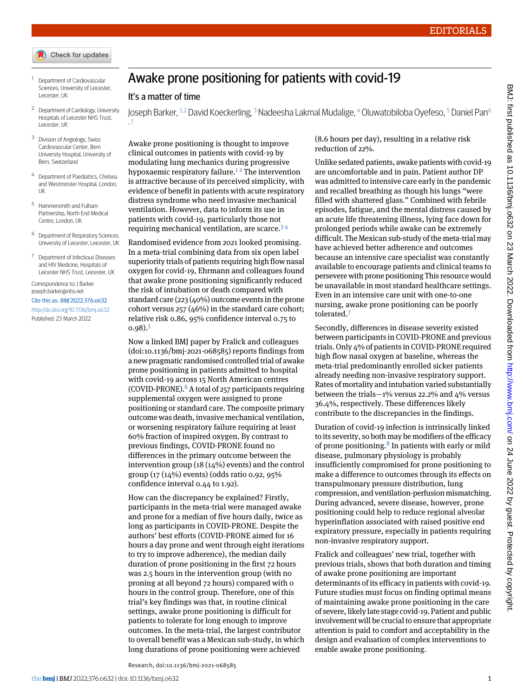- Check for updates
- <span id="page-0-1"></span><span id="page-0-0"></span><sup>1</sup> Department of Cardiovascular Sciences, University of Leicester, Leicester, UK
- <span id="page-0-2"></span><sup>2</sup> Department of Cardiology, University Hospitals of Leicester NHS Trust, Leicester, UK
- <span id="page-0-3"></span><sup>3</sup> Division of Angiology, Swiss Cardiovascular Center, Bern University Hospital, University of Bern, Switzerland
- <span id="page-0-4"></span>Department of Paediatrics, Chelsea and Westminster Hospital, London, UK
- <span id="page-0-5"></span><sup>5</sup> Hammersmith and Fulham Partnership, North End Medical Centre, London, UK
- <span id="page-0-6"></span><sup>6</sup> Department of Respiratory Sciences, University of Leicester, Leicester, UK
- <sup>7</sup> Department of Infectious Diseases and HIV Medicine, Hospitals of Leicester NHS Trust, Leicester, UK

Correspondence to: J Barker [joseph.barker@nhs.net](mailto:joseph.barker@nhs.net) Cite this as: BMJ 2022;376:o632

<http://dx.doi.org/10.1136/bmj.o632> Published: 23 March 2022

## Awake prone positioning for patients with covid-19

## It's a matter of time

Joseph Barker, <sup>[1](#page-0-0),[2](#page-0-1)</sup> David Koeckerling, <sup>[3](#page-0-2)</sup> Nadeesha Lakmal Mudalige, <sup>[4](#page-0-3)</sup> Oluwatobiloba Oyefeso, <sup>[5](#page-0-4)</sup> Daniel Pan<sup>[6](#page-0-5)</sup> , [7](#page-0-6)

Awake prone positioning is thought to improve clinical outcomes in patients with covid-19 by modulating lung mechanics during progressive hypoxaemic respiratory failure.<sup>[1](#page-1-0)2</sup> The intervention is attractive because of its perceived simplicity, with evidence of benefit in patients with acute respiratory distress syndrome who need invasive mechanical ventilation. However, data to inform its use in patients with covid-19, particularly those not requiring mechanical ventilation, are scarce.[3](#page-1-2) [4](#page-1-3)

Randomised evidence from 2021 looked promising. In a meta-trial combining data from six open label superiority trials of patients requiring high flow nasal oxygen for covid-19, Ehrmann and colleagues found that awake prone positioning significantly reduced the risk of intubation or death compared with standard care (223 (40%) outcome events in the prone cohort versus 257 (46%) in the standard care cohort; relative risk 0.86, 95% confidence interval 0.75 to  $0.98$ ) $<sup>5</sup>$  $<sup>5</sup>$  $<sup>5</sup>$ </sup>

Now a linked BMJ paper by Fralick and colleagues (doi[:10.1136/bmj-2021-068585](http://dx.doi.org/10.1136/bmj-2021-068585)) reports findings from a new pragmatic randomised controlled trial of awake prone positioning in patients admitted to hospital with covid-19 across 15 North American centres (COVID-PRONE). $^6$  $^6$  A total of 257 participants requiring supplemental oxygen were assigned to prone positioning or standard care. The composite primary outcome was death, invasive mechanical ventilation, or worsening respiratory failure requiring at least 60% fraction of inspired oxygen. By contrast to previous findings, COVID-PRONE found no differences in the primary outcome between the intervention group (18 (14%) events) and the control group (17 (14%) events) (odds ratio 0.92, 95% confidence interval 0.44 to 1.92).

How can the discrepancy be explained? Firstly, participants in the meta-trial were managed awake and prone for a median of five hours daily, twice as long as participants in COVID-PRONE. Despite the authors' best efforts (COVID-PRONE aimed for 16 hours a day prone and went through eight iterations to try to improve adherence), the median daily duration of prone positioning in the first 72 hours was 2.5 hours in the intervention group (with no proning at all beyond 72 hours) compared with 0 hours in the control group. Therefore, one of this trial's key findings was that, in routine clinical settings, awake prone positioning is difficult for patients to tolerate for long enough to improve outcomes. In the meta-trial, the largest contributor to overall benefit was a Mexican sub-study, in which long durations of prone positioning were achieved

Research, doi[:10.1136/bmj-2021-068585](http://dx.doi.org/10.1136/bmj-2021-068585)

(8.6 hours per day), resulting in a relative risk reduction of 22%.

Unlike sedated patients, awake patients with covid-19 are uncomfortable and in pain. Patient author DP was admitted to intensive care early in the pandemic and recalled breathing as though his lungs "were filled with shattered glass." Combined with febrile episodes, fatigue, and the mental distress caused by an acute life threatening illness, lying face down for prolonged periods while awake can be extremely difficult. The Mexican sub-study of the meta-trial may have achieved better adherence and outcomes because an intensive care specialist was constantly available to encourage patients and clinical teams to persevere with prone positioning This resource would be unavailable in most standard healthcare settings. Even in an intensive care unit with one-to-one nursing, awake prone positioning can be poorly tolerated.[7](#page-1-6)

Secondly, differences in disease severity existed between participants in COVID-PRONE and previous trials. Only 4% of patients in COVID-PRONE required high flow nasal oxygen at baseline, whereas the meta-trial predominantly enrolled sicker patients already needing non-invasive respiratory support. Rates of mortality and intubation varied substantially between the trials— $1\%$  versus 22.2% and  $4\%$  versus 36.4%, respectively. These differences likely contribute to the discrepancies in the findings.

Duration of covid-19 infection is intrinsically linked to its severity, so both may be modifiers of the efficacy of prone positioning.<sup>[8](#page-1-7)</sup> In patients with early or mild disease, pulmonary physiology is probably insufficiently compromised for prone positioning to make a difference to outcomes through its effects on transpulmonary pressure distribution, lung compression, and ventilation-perfusion mismatching. During advanced, severe disease, however, prone positioning could help to reduce regional alveolar hyperinflation associated with raised positive end expiratory pressure, especially in patients requiring non-invasive respiratory support.

Fralick and colleagues' new trial, together with previous trials, shows that both duration and timing of awake prone positioning are important determinants of its efficacy in patients with covid-19. Future studies must focus on finding optimal means of maintaining awake prone positioning in the care of severe, likely late stage covid-19. Patient and public involvement will be crucial to ensure that appropriate attention is paid to comfort and acceptability in the design and evaluation of complex interventions to enable awake prone positioning.